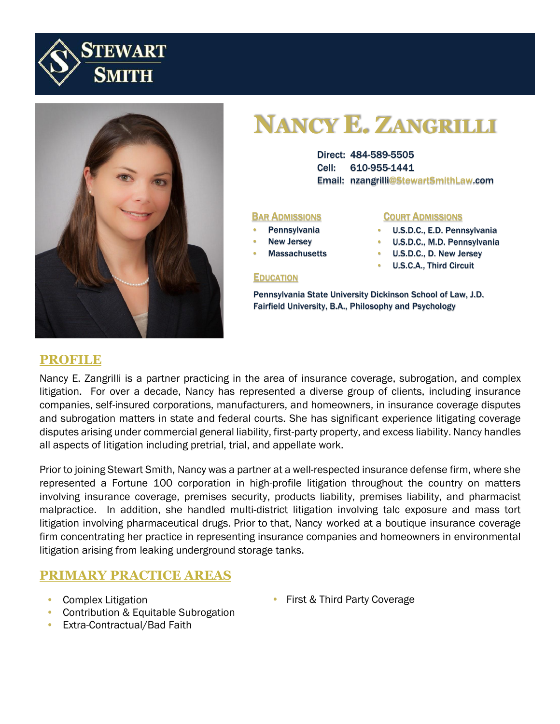



# **NANCY E. ZANGRILLI**

Direct: 484-589-5505 Cell: 610-955-1441 Email: nzangrilli@StewartSmithLaw.com

#### **BAR ADMISSIONS COURT ADMISSIONS**

- **Pennsylvania**
- **New Jersey**

**EDUCATION** 

**Massachusetts** 

#### • U.S.D.C., E.D. Pennsylvania

- U.S.D.C., M.D. Pennsylvania
- U.S.D.C., D. New Jersey
- U.S.C.A., Third Circuit

Pennsylvania State University Dickinson School of Law, J.D. Fairfield University, B.A., Philosophy and Psychology

#### **PROFILE**

Nancy E. Zangrilli is a partner practicing in the area of insurance coverage, subrogation, and complex litigation. For over a decade, Nancy has represented a diverse group of clients, including insurance companies, self-insured corporations, manufacturers, and homeowners, in insurance coverage disputes and subrogation matters in state and federal courts. She has significant experience litigating coverage disputes arising under commercial general liability, first-party property, and excess liability. Nancy handles all aspects of litigation including pretrial, trial, and appellate work.

Prior to joining Stewart Smith, Nancy was a partner at a well-respected insurance defense firm, where she represented a Fortune 100 corporation in high-profile litigation throughout the country on matters involving insurance coverage, premises security, products liability, premises liability, and pharmacist malpractice. In addition, she handled multi-district litigation involving talc exposure and mass tort litigation involving pharmaceutical drugs. Prior to that, Nancy worked at a boutique insurance coverage firm concentrating her practice in representing insurance companies and homeowners in environmental litigation arising from leaking underground storage tanks.

### **PRIMARY PRACTICE AREAS**

- Complex Litigation
- Contribution & Equitable Subrogation
- Extra-Contractual/Bad Faith

• First & Third Party Coverage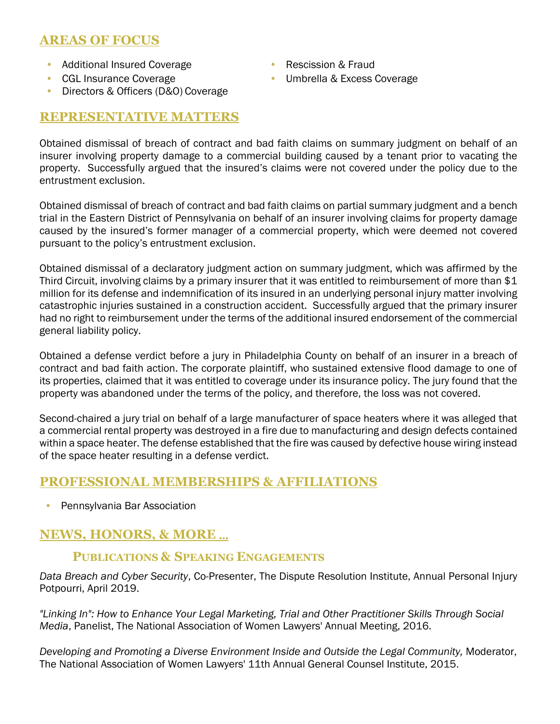# **AREAS OF FOCUS**

- Additional Insured Coverage
- CGL Insurance Coverage
- Directors & Officers (D&O) Coverage
- Rescission & Fraud
- Umbrella & Excess Coverage

# **REPRESENTATIVE MATTERS**

Obtained dismissal of breach of contract and bad faith claims on summary judgment on behalf of an insurer involving property damage to a commercial building caused by a tenant prior to vacating the property. Successfully argued that the insured's claims were not covered under the policy due to the entrustment exclusion.

Obtained dismissal of breach of contract and bad faith claims on partial summary judgment and a bench trial in the Eastern District of Pennsylvania on behalf of an insurer involving claims for property damage caused by the insured's former manager of a commercial property, which were deemed not covered pursuant to the policy's entrustment exclusion.

Obtained dismissal of a declaratory judgment action on summary judgment, which was affirmed by the Third Circuit, involving claims by a primary insurer that it was entitled to reimbursement of more than \$1 million for its defense and indemnification of its insured in an underlying personal injury matter involving catastrophic injuries sustained in a construction accident. Successfully argued that the primary insurer had no right to reimbursement under the terms of the additional insured endorsement of the commercial general liability policy.

Obtained a defense verdict before a jury in Philadelphia County on behalf of an insurer in a breach of contract and bad faith action. The corporate plaintiff, who sustained extensive flood damage to one of its properties, claimed that it was entitled to coverage under its insurance policy. The jury found that the property was abandoned under the terms of the policy, and therefore, the loss was not covered.

Second-chaired a jury trial on behalf of a large manufacturer of space heaters where it was alleged that a commercial rental property was destroyed in a fire due to manufacturing and design defects contained within a space heater. The defense established that the fire was caused by defective house wiring instead of the space heater resulting in a defense verdict.

# **PROFESSIONAL MEMBERSHIPS & AFFILIATIONS**

• Pennsylvania Bar Association

# **NEWS, HONORS, & MORE** …

#### **PUBLICATIONS & SPEAKING ENGAGEMENTS**

*Data Breach and Cyber Security*, Co-Presenter, The Dispute Resolution Institute, Annual Personal Injury Potpourri, April 2019.

*"Linking In": How to Enhance Your Legal Marketing, Trial and Other Practitioner Skills Through Social Media*, Panelist, The National Association of Women Lawyers' Annual Meeting, 2016.

*Developing and Promoting a Diverse Environment Inside and Outside the Legal Community,* Moderator, The National Association of Women Lawyers' 11th Annual General Counsel Institute, 2015.